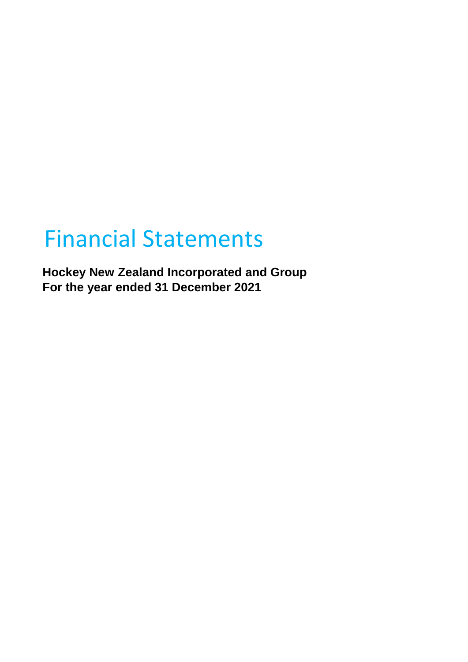# Financial Statements

**Hockey New Zealand Incorporated and Group For the year ended 31 December 2021**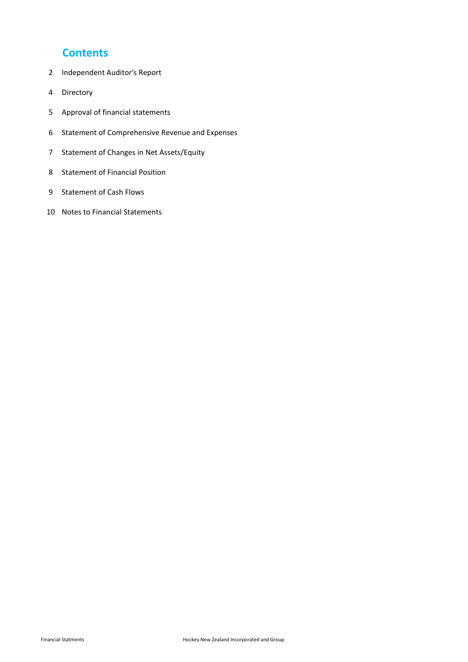### **Contents**

- Independent Auditor's Report
- Directory
- Approval of financial statements
- Statement of Comprehensive Revenue and Expenses
- Statement of Changes in Net Assets/Equity
- Statement of Financial Position
- Statement of Cash Flows
- Notes to Financial Statements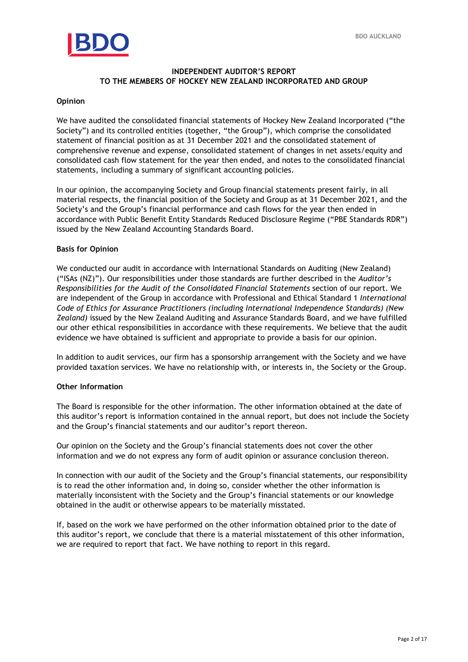

### **INDEPENDENT AUDITOR'S REPORT TO THE MEMBERS OF HOCKEY NEW ZEALAND INCORPORATED AND GROUP**

### **Opinion**

have audited the consolidated<br>Piety") and its controlled entition:<br>Biography of financial position as We have audited the consolidated financial statements of Hockey New Zealand Incorporated ("the Society") and its controlled entities (together, "the Group"), which comprise the consolidated statement of financial position as at 31 December 2021 and the consolidated statement of comprehensive revenue and expense, consolidated statement of changes in net assets/equity and consolidated cash flow statement for the year then ended, and notes to the consolidated financial statements, including a summary of significant accounting policies.

In our opinion, the accompanying Society and Group financial statements present fairly, in all material respects, the financial position of the Society and Group as at 31 December 2021, and the Society's and the Group's financial performance and cash flows for the year then ended in accordance with Public Benefit Entity Standards Reduced Disclosure Regime ("PBE Standards RDR") issued by the New Zealand Accounting Standards Board.

### **Basis for Opinion**

We conducted our audit in accordance with International Standards on Auditing (New Zealand) ("ISAs (NZ)"). Our responsibilities under those standards are further described in the *Auditor's Responsibilities for the Audit of the Consolidated Financial Statements* section of our report. We are independent of the Group in accordance with Professional and Ethical Standard 1 *International Code of Ethics for Assurance Practitioners (including International Independence Standards) (New Zealand)* issued by the New Zealand Auditing and Assurance Standards Board, and we have fulfilled our other ethical responsibilities in accordance with these requirements. We believe that the audit evidence we have obtained is sufficient and appropriate to provide a basis for our opinion.

In addition to audit services, our firm has a sponsorship arrangement with the Society and we have provided taxation services. We have no relationship with, or interests in, the Society or the Group.

### **Other Information**

The Board is responsible for the other information. The other information obtained at the date of this auditor's report is information contained in the annual report, but does not include the Society and the Group's financial statements and our auditor's report thereon.

Our opinion on the Society and the Group's financial statements does not cover the other information and we do not express any form of audit opinion or assurance conclusion thereon.

In connection with our audit of the Society and the Group's financial statements, our responsibility is to read the other information and, in doing so, consider whether the other information is materially inconsistent with the Society and the Group's financial statements or our knowledge obtained in the audit or otherwise appears to be materially misstated.

If, based on the work we have performed on the other information obtained prior to the date of this auditor's report, we conclude that there is a material misstatement of this other information, we are required to report that fact. We have nothing to report in this regard.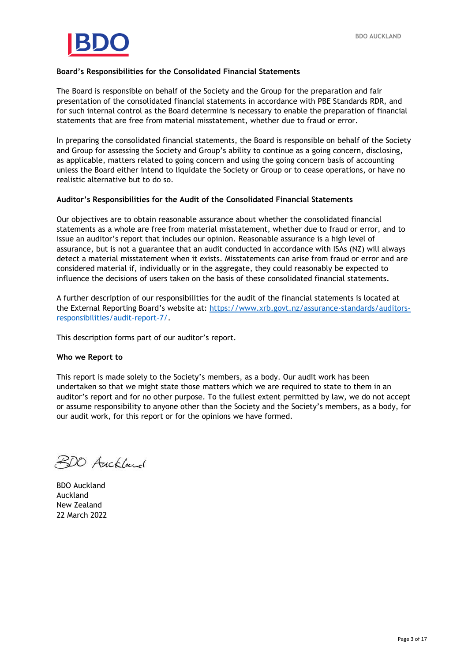

### **Board's Responsibilities for the Consolidated Financial Statements**

statements that are free from material misstatement, whether due to fraud or error.<br>In preparing the consolidated financial statements, the Board is responsible on behal: The Board is responsible on behalf of the Society and the Group for the preparation and fair presentation of the consolidated financial statements in accordance with PBE Standards RDR, and for such internal control as the Board determine is necessary to enable the preparation of financial

In preparing the consolidated financial statements, the Board is responsible on behalf of the Society and Group for assessing the Society and Group's ability to continue as a going concern, disclosing, as applicable, matters related to going concern and using the going concern basis of accounting unless the Board either intend to liquidate the Society or Group or to cease operations, or have no realistic alternative but to do so.

### **Auditor's Responsibilities for the Audit of the Consolidated Financial Statements**

Our objectives are to obtain reasonable assurance about whether the consolidated financial statements as a whole are free from material misstatement, whether due to fraud or error, and to issue an auditor's report that includes our opinion. Reasonable assurance is a high level of assurance, but is not a guarantee that an audit conducted in accordance with ISAs (NZ) will always detect a material misstatement when it exists. Misstatements can arise from fraud or error and are considered material if, individually or in the aggregate, they could reasonably be expected to influence the decisions of users taken on the basis of these consolidated financial statements.

A further description of our responsibilities for the audit of the financial statements is located at the External Reporting Board's website at: [https://www.xrb.govt.nz/assurance-standards/auditors](https://www.xrb.govt.nz/assurance-standards/auditors-responsibilities/audit-report-7/)[responsibilities/audit-report-7/.](https://www.xrb.govt.nz/assurance-standards/auditors-responsibilities/audit-report-7/)

This description forms part of our auditor's report.

#### **Who we Report to**

This report is made solely to the Society's members, as a body. Our audit work has been undertaken so that we might state those matters which we are required to state to them in an auditor's report and for no other purpose. To the fullest extent permitted by law, we do not accept or assume responsibility to anyone other than the Society and the Society's members, as a body, for our audit work, for this report or for the opinions we have formed.

200 Auckland

BDO Auckland Auckland New Zealand 22 March 2022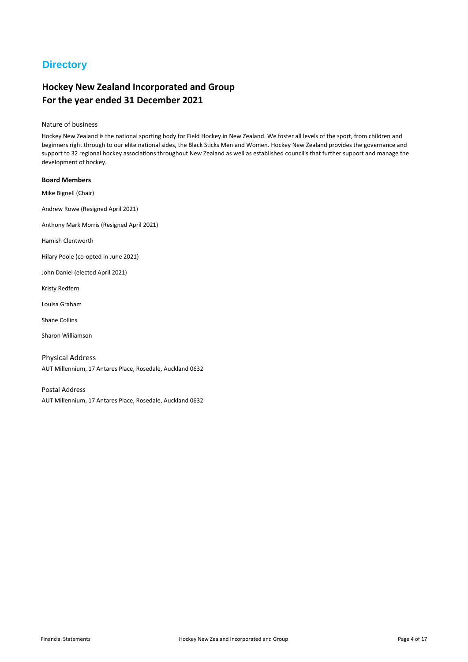## **Directory**

### **Hockey New Zealand Incorporated and Group For the year ended 31 December 2021**

#### Nature of business

Hockey New Zealand is the national sporting body for Field Hockey in New Zealand. We foster all levels of the sport, from children and beginners right through to our elite national sides, the Black Sticks Men and Women. Hockey New Zealand provides the governance and support to 32 regional hockey associations throughout New Zealand as well as established council's that further support and manage the development of hockey.

#### **Board Members**

Mike Bignell (Chair)

Andrew Rowe (Resigned April 2021)

Anthony Mark Morris (Resigned April 2021)

Hamish Clentworth

Hilary Poole (co-opted in June 2021)

John Daniel (elected April 2021)

Kristy Redfern

Louisa Graham

Shane Collins

Sharon Williamson

AUT Millennium, 17 Antares Place, Rosedale, Auckland 0632 Physical Address

Postal Address AUT Millennium, 17 Antares Place, Rosedale, Auckland 0632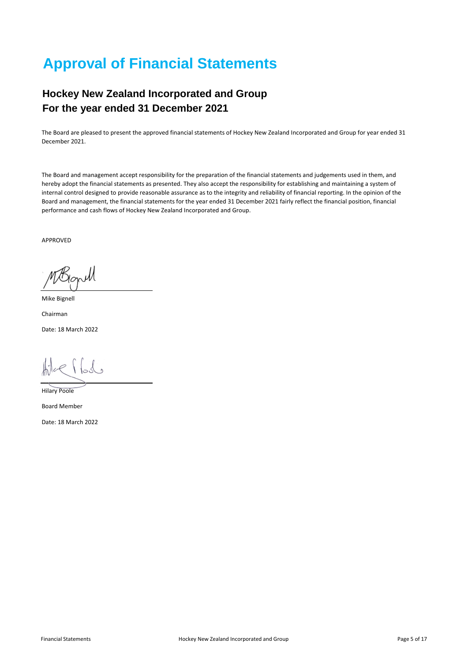## **Approval of Financial Statements**

## **Hockey New Zealand Incorporated and Group For the year ended 31 December 2021**

The Board are pleased to present the approved financial statements of Hockey New Zealand Incorporated and Group for year ended 31 December 2021.

The Board and management accept responsibility for the preparation of the financial statements and judgements used in them, and hereby adopt the financial statements as presented. They also accept the responsibility for establishing and maintaining a system of internal control designed to provide reasonable assurance as to the integrity and reliability of financial reporting. In the opinion of the Board and management, the financial statements for the year ended 31 December 2021 fairly reflect the financial position, financial performance and cash flows of Hockey New Zealand Incorporated and Group.

APPROVED

NЙ

Mike Bignell

Chairman Date: 18 March 2022

rflod

Hilary Poole

Board Member

Date: 18 March 2022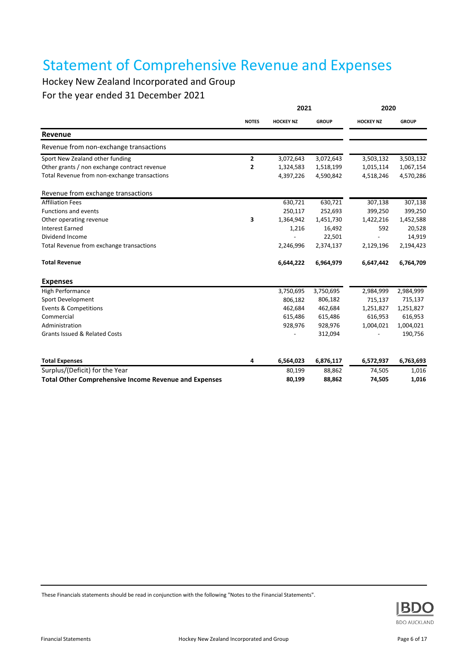## Statement of Comprehensive Revenue and Expenses

## Hockey New Zealand Incorporated and Group

For the year ended 31 December 2021

|                                                              | 2021           |                  |              | 2020             |              |  |
|--------------------------------------------------------------|----------------|------------------|--------------|------------------|--------------|--|
|                                                              | <b>NOTES</b>   | <b>HOCKEY NZ</b> | <b>GROUP</b> | <b>HOCKEY NZ</b> | <b>GROUP</b> |  |
| Revenue                                                      |                |                  |              |                  |              |  |
| Revenue from non-exchange transactions                       |                |                  |              |                  |              |  |
| Sport New Zealand other funding                              | $\mathbf{2}$   | 3,072,643        | 3,072,643    | 3,503,132        | 3,503,132    |  |
| Other grants / non exchange contract revenue                 | $\overline{2}$ | 1,324,583        | 1,518,199    | 1,015,114        | 1,067,154    |  |
| Total Revenue from non-exchange transactions                 |                | 4,397,226        | 4,590,842    | 4,518,246        | 4,570,286    |  |
| Revenue from exchange transactions                           |                |                  |              |                  |              |  |
| <b>Affiliation Fees</b>                                      |                | 630,721          | 630,721      | 307,138          | 307,138      |  |
| <b>Functions and events</b>                                  |                | 250,117          | 252,693      | 399,250          | 399,250      |  |
| Other operating revenue                                      | 3              | 1,364,942        | 1,451,730    | 1,422,216        | 1,452,588    |  |
| <b>Interest Earned</b>                                       |                | 1,216            | 16,492       | 592              | 20,528       |  |
| Dividend Income                                              |                |                  | 22,501       |                  | 14,919       |  |
| Total Revenue from exchange transactions                     |                | 2,246,996        | 2,374,137    | 2,129,196        | 2,194,423    |  |
| <b>Total Revenue</b>                                         |                | 6,644,222        | 6,964,979    | 6,647,442        | 6,764,709    |  |
| <b>Expenses</b>                                              |                |                  |              |                  |              |  |
| High Performance                                             |                | 3,750,695        | 3,750,695    | 2,984,999        | 2,984,999    |  |
| Sport Development                                            |                | 806,182          | 806,182      | 715,137          | 715,137      |  |
| <b>Events &amp; Competitions</b>                             |                | 462,684          | 462,684      | 1,251,827        | 1,251,827    |  |
| Commercial                                                   |                | 615,486          | 615,486      | 616,953          | 616,953      |  |
| Administration                                               |                | 928,976          | 928,976      | 1,004,021        | 1,004,021    |  |
| <b>Grants Issued &amp; Related Costs</b>                     |                |                  | 312,094      |                  | 190,756      |  |
| <b>Total Expenses</b>                                        | 4              | 6,564,023        | 6,876,117    | 6,572,937        | 6,763,693    |  |
| Surplus/(Deficit) for the Year                               |                | 80,199           | 88,862       | 74,505           | 1,016        |  |
| <b>Total Other Comprehensive Income Revenue and Expenses</b> |                | 80,199           | 88,862       | 74,505           | 1,016        |  |

These Financials statements should be read in conjunction with the following "Notes to the Financial Statements".

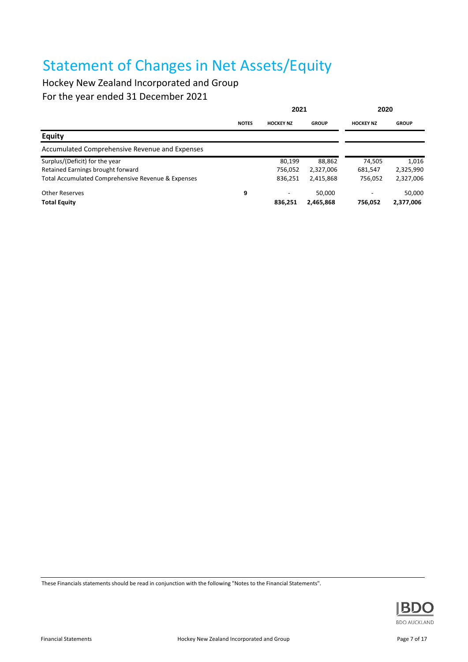## Statement of Changes in Net Assets/Equity

Hockey New Zealand Incorporated and Group For the year ended 31 December 2021

|                                                    | 2021         |                  |              | 2020             |              |
|----------------------------------------------------|--------------|------------------|--------------|------------------|--------------|
|                                                    | <b>NOTES</b> | <b>HOCKEY NZ</b> | <b>GROUP</b> | <b>HOCKEY NZ</b> | <b>GROUP</b> |
| <b>Equity</b>                                      |              |                  |              |                  |              |
| Accumulated Comprehensive Revenue and Expenses     |              |                  |              |                  |              |
| Surplus/(Deficit) for the year                     |              | 80,199           | 88,862       | 74,505           | 1,016        |
| Retained Earnings brought forward                  |              | 756,052          | 2,327,006    | 681,547          | 2,325,990    |
| Total Accumulated Comprehensive Revenue & Expenses |              | 836,251          | 2,415,868    | 756,052          | 2,327,006    |
| <b>Other Reserves</b>                              | 9            |                  | 50.000       | ۰                | 50,000       |
| <b>Total Equity</b>                                |              | 836.251          | 2,465,868    | 756.052          | 2,377,006    |

These Financials statements should be read in conjunction with the following "Notes to the Financial Statements".

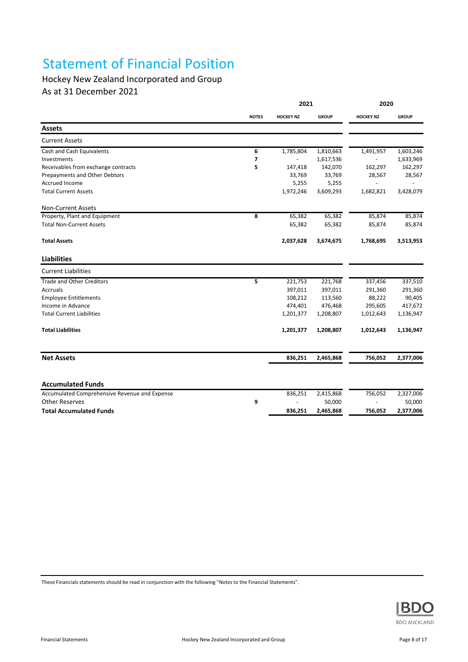## Statement of Financial Position

## Hockey New Zealand Incorporated and Group

As at 31 December 2021

|                                               |              | 2021             |              | 2020             |              |  |
|-----------------------------------------------|--------------|------------------|--------------|------------------|--------------|--|
|                                               | <b>NOTES</b> | <b>HOCKEY NZ</b> | <b>GROUP</b> | <b>HOCKEY NZ</b> | <b>GROUP</b> |  |
| <b>Assets</b>                                 |              |                  |              |                  |              |  |
| <b>Current Assets</b>                         |              |                  |              |                  |              |  |
| Cash and Cash Equivalents                     | 6            | 1,785,804        | 1,810,663    | 1,491,957        | 1,603,246    |  |
| Investments                                   | 7            |                  | 1,617,536    |                  | 1,633,969    |  |
| Receivables from exchange contracts           | 5            | 147,418          | 142,070      | 162,297          | 162,297      |  |
| Prepayments and Other Debtors                 |              | 33,769           | 33,769       | 28,567           | 28,567       |  |
| <b>Accrued Income</b>                         |              | 5,255            | 5,255        |                  |              |  |
| <b>Total Current Assets</b>                   |              | 1,972,246        | 3,609,293    | 1,682,821        | 3,428,079    |  |
| Non-Current Assets                            |              |                  |              |                  |              |  |
| Property, Plant and Equipment                 | 8            | 65,382           | 65,382       | 85,874           | 85,874       |  |
| <b>Total Non-Current Assets</b>               |              | 65,382           | 65,382       | 85,874           | 85,874       |  |
| <b>Total Assets</b>                           |              | 2,037,628        | 3,674,675    | 1,768,695        | 3,513,953    |  |
| <b>Liabilities</b>                            |              |                  |              |                  |              |  |
| <b>Current Liabilities</b>                    |              |                  |              |                  |              |  |
| <b>Trade and Other Creditors</b>              | 5            | 221,753          | 221,768      | 337,456          | 337,510      |  |
| Accruals                                      |              | 397,011          | 397,011      | 291,360          | 291,360      |  |
| <b>Employee Entitlements</b>                  |              | 108,212          | 113,560      | 88,222           | 90,405       |  |
| Income in Advance                             |              | 474,401          | 476,468      | 295,605          | 417,672      |  |
| <b>Total Current Liabilities</b>              |              | 1,201,377        | 1,208,807    | 1,012,643        | 1,136,947    |  |
| <b>Total Liabilities</b>                      |              | 1,201,377        | 1,208,807    | 1,012,643        | 1,136,947    |  |
| <b>Net Assets</b>                             |              | 836,251          | 2,465,868    | 756,052          | 2,377,006    |  |
|                                               |              |                  |              |                  |              |  |
| <b>Accumulated Funds</b>                      |              |                  |              |                  |              |  |
| Accumulated Comprehensive Revenue and Expense |              | 836,251          | 2,415,868    | 756,052          | 2,327,006    |  |
| <b>Other Reserves</b>                         | 9            |                  | 50,000       |                  | 50,000       |  |
| <b>Total Accumulated Funds</b>                |              | 836,251          | 2,465,868    | 756,052          | 2,377,006    |  |

These Financials statements should be read in conjunction with the following "Notes to the Financial Statements".

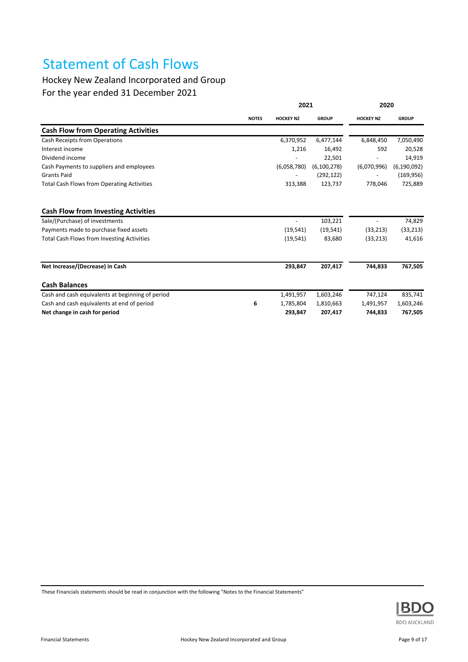## Statement of Cash Flows

## Hockey New Zealand Incorporated and Group

For the year ended 31 December 2021

|                                                   |              | 2021             |               | 2020             |               |
|---------------------------------------------------|--------------|------------------|---------------|------------------|---------------|
|                                                   | <b>NOTES</b> | <b>HOCKEY NZ</b> | <b>GROUP</b>  | <b>HOCKEY NZ</b> | <b>GROUP</b>  |
| <b>Cash Flow from Operating Activities</b>        |              |                  |               |                  |               |
| Cash Receipts from Operations                     |              | 6,370,952        | 6,477,144     | 6,848,450        | 7,050,490     |
| Interest income                                   |              | 1,216            | 16,492        | 592              | 20,528        |
| Dividend income                                   |              |                  | 22,501        |                  | 14,919        |
| Cash Payments to suppliers and employees          |              | (6,058,780)      | (6, 100, 278) | (6,070,996)      | (6, 190, 092) |
| <b>Grants Paid</b>                                |              |                  | (292, 122)    |                  | (169, 956)    |
| <b>Total Cash Flows from Operating Activities</b> |              | 313,388          | 123,737       | 778,046          | 725,889       |
| <b>Cash Flow from Investing Activities</b>        |              |                  |               |                  |               |
| Sale/(Purchase) of investments                    |              |                  | 103,221       |                  | 74,829        |
| Payments made to purchase fixed assets            |              | (19, 541)        | (19, 541)     | (33, 213)        | (33, 213)     |
| <b>Total Cash Flows from Investing Activities</b> |              | (19, 541)        | 83,680        | (33, 213)        | 41,616        |
| Net Increase/(Decrease) in Cash                   |              | 293,847          | 207,417       | 744,833          | 767,505       |
| <b>Cash Balances</b>                              |              |                  |               |                  |               |
| Cash and cash equivalents at beginning of period  |              | 1,491,957        | 1,603,246     | 747,124          | 835,741       |
| Cash and cash equivalents at end of period        | 6            | 1,785,804        | 1,810,663     | 1,491,957        | 1,603,246     |
| Net change in cash for period                     |              | 293,847          | 207,417       | 744,833          | 767,505       |

These Financials statements should be read in conjunction with the following "Notes to the Financial Statements"

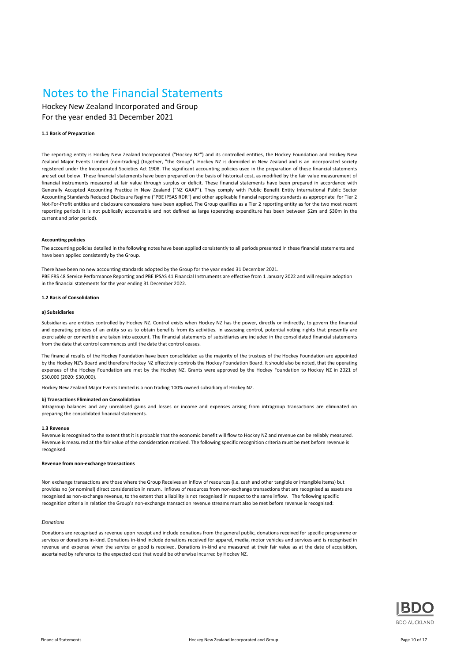## Notes to the Financial Statements

Hockey New Zealand Incorporated and Group For the year ended 31 December 2021

#### **1.1 Basis of Preparation**

The reporting entity is Hockey New Zealand Incorporated ("Hockey NZ") and its controlled entities, the Hockey Foundation and Hockey New Zealand Major Events Limited (non-trading) (together, "the Group"). Hockey NZ is domiciled in New Zealand and is an incorporated society registered under the Incorporated Societies Act 1908. The significant accounting policies used in the preparation of these financial statements are set out below. These financial statements have been prepared on the basis of historical cost, as modified by the fair value measurement of financial instruments measured at fair value through surplus or deficit. These financial statements have been prepared in accordance with Generally Accepted Accounting Practice in New Zealand ("NZ GAAP"). They comply with Public Benefit Entity International Public Sector Accounting Standards Reduced Disclosure Regime ("PBE IPSAS RDR") and other applicable financial reporting standards as appropriate for Tier 2 Not-For-Profit entities and disclosure concessions have been applied. The Group qualifies as a Tier 2 reporting entity as for the two most recent reporting periods it is not publically accountable and not defined as large (operating expenditure has been between \$2m and \$30m in the current and prior period).

#### **Accounting policies**

The accounting policies detailed in the following notes have been applied consistently to all periods presented in these financial statements and have been applied consistently by the Group.

There have been no new accounting standards adopted by the Group for the year ended 31 December 2021. PBE FRS 48 Service Performance Reporting and PBE IPSAS 41 Financial Instruments are effective from 1 January 2022 and will require adoption in the financial statements for the year ending 31 December 2022.

#### **1.2 Basis of Consolidation**

#### **a) Subsidiaries**

Subsidiaries are entities controlled by Hockey NZ. Control exists when Hockey NZ has the power, directly or indirectly, to govern the financial and operating policies of an entity so as to obtain benefits from its activities. In assessing control, potential voting rights that presently are exercisable or convertible are taken into account. The financial statements of subsidiaries are included in the consolidated financial statements from the date that control commences until the date that control ceases.

The financial results of the Hockey Foundation have been consolidated as the majority of the trustees of the Hockey Foundation are appointed by the Hockey NZ's Board and therefore Hockey NZ effectively controls the Hockey Foundation Board. It should also be noted, that the operating expenses of the Hockey Foundation are met by the Hockey NZ. Grants were approved by the Hockey Foundation to Hockey NZ in 2021 of \$30,000 (2020: \$30,000).

Hockey New Zealand Major Events Limited is a non trading 100% owned subsidiary of Hockey NZ.

#### **b) Transactions Eliminated on Consolidation**

Intragroup balances and any unrealised gains and losses or income and expenses arising from intragroup transactions are eliminated on preparing the consolidated financial statements.

#### **1.3 Revenue**

Revenue is recognised to the extent that it is probable that the economic benefit will flow to Hockey NZ and revenue can be reliably measured. Revenue is measured at the fair value of the consideration received. The following specific recognition criteria must be met before revenue is recognised.

#### **Revenue from non-exchange transactions**

Non exchange transactions are those where the Group Receives an inflow of resources (i.e. cash and other tangible or intangible items) but provides no (or nominal) direct consideration in return. Inflows of resources from non-exchange transactions that are recognised as assets are recognised as non-exchange revenue, to the extent that a liability is not recognised in respect to the same inflow. The following specific recognition criteria in relation the Group's non-exchange transaction revenue streams must also be met before revenue is recognised:

#### *Donations*

Donations are recognised as revenue upon receipt and include donations from the general public, donations received for specific programme or services or donations in-kind. Donations in-kind include donations received for apparel, media, motor vehicles and services and is recognised in revenue and expense when the service or good is received. Donations in-kind are measured at their fair value as at the date of acquisition, ascertained by reference to the expected cost that would be otherwise incurred by Hockey NZ.

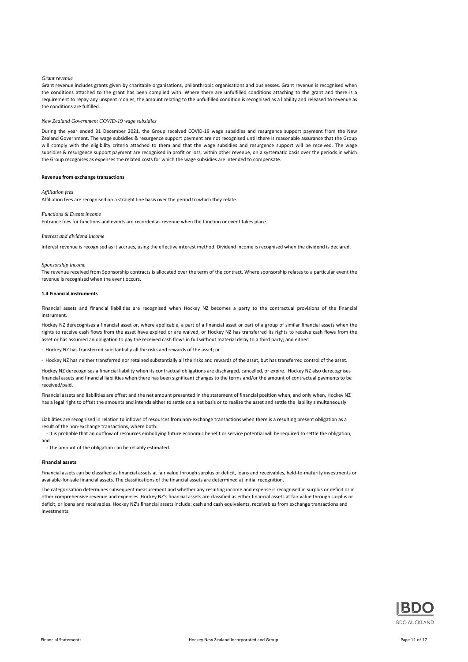#### *Grant revenue*

Grant revenue includes grants given by charitable organisations, philanthropic organisations and businesses. Grant revenue is recognised when the conditions attached to the grant has been complied with. Where there are unfulfilled conditions attaching to the grant and there is a requirement to repay any unspent monies, the amount relating to the unfulfilled condition is recognised as a liability and released to revenue as the conditions are fulfilled.

#### *New Zealand Government COVID-19 wage subsidies*

During the year ended 31 December 2021, the Group received COVID-19 wage subsidies and resurgence support payment from the New Zealand Government. The wage subsidies & resurgence support payment are not recognised until there is reasonable assurance that the Group will comply with the eligibility criteria attached to them and that the wage subsidies and resurgence support will be received. The wage subsidies & resurgence support payment are recognised in profit or loss, within other revenue, on a systematic basis over the periods in which the Group recognises as expenses the related costs for which the wage subsidies are intended to compensate.

#### **Revenue from exchange transactions**

#### *Affiliation fees*

Affiliation fees are recognised on a straight line basis over the period to which they relate.

#### *Functions & Events income*

Entrance fees for functions and events are recorded as revenue when the function or event takes place.

#### *Interest and dividend income*

Interest revenue is recognised as it accrues, using the effective interest method. Dividend income is recognised when the dividend is declared.

#### *Sponsorship income*

The revenue received from Sponsorship contracts is allocated over the term of the contract. Where sponsorship relates to a particular event the revenue is recognised when the event occurs.

#### **1.4 Financial instruments**

Financial assets and financial liabilities are recognised when Hockey NZ becomes a party to the contractual provisions of the financial instrument.

Hockey NZ derecognises a financial asset or, where applicable, a part of a financial asset or part of a group of similar financial assets when the rights to receive cash flows from the asset have expired or are waived, or Hockey NZ has transferred its rights to receive cash flows from the asset or has assumed an obligation to pay the received cash flows in full without material delay to a third party; and either:

- Hockey NZ has transferred substantially all the risks and rewards of the asset; or

- Hockey NZ has neither transferred nor retained substantially all the risks and rewards of the asset, but has transferred control of the asset.

Hockey NZ derecognises a financial liability when its contractual obligations are discharged, cancelled, or expire. Hockey NZ also derecognises financial assets and financial liabilities when there has been significant changes to the terms and/or the amount of contractual payments to be received/paid.

Financial assets and liabilities are offset and the net amount presented in the statement of financial position when, and only when, Hockey NZ has a legal right to offset the amounts and intends either to settle on a net basis or to realise the asset and settle the liability simultaneously.

Liabilities are recognised in relation to inflows of resources from non-exchange transactions when there is a resulting present obligation as a result of the non-exchange transactions, where both:

- It is probable that an outflow of resources embodying future economic benefit or service potential will be required to settle the obligation, and

- The amount of the obligation can be reliably estimated.

#### **Financial assets**

Financial assets can be classified as financial assets at fair value through surplus or deficit, loans and receivables, held-to-maturity investments or available-for-sale financial assets. The classifications of the financial assets are determined at initial recognition.

The categorisation determines subsequent measurement and whether any resulting income and expense is recognised in surplus or deficit or in other comprehensive revenue and expenses. Hockey NZ's financial assets are classified as either financial assets at fair value through surplus or deficit, or loans and receivables. Hockey NZ's financial assets include: cash and cash equivalents, receivables from exchange transactions and investments.

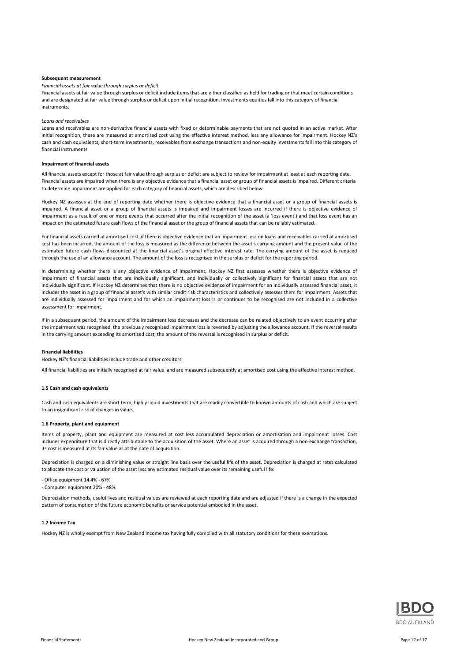#### **Subsequent measurement**

#### *Financial assets at fair value through surplus or deficit*

Financial assets at fair value through surplus or deficit include items that are either classified as held for trading or that meet certain conditions and are designated at fair value through surplus or deficit upon initial recognition. Investments equities fall into this category of financial instruments.

#### *Loans and receivables*

Loans and receivables are non-derivative financial assets with fixed or determinable payments that are not quoted in an active market. After initial recognition, these are measured at amortised cost using the effective interest method, less any allowance for impairment. Hockey NZ's cash and cash equivalents, short-term investments, receivables from exchange transactions and non-equity investments fall into this category of financial instruments.

#### **Impairment of financial assets**

All financial assets except for those at fair value through surplus or deficit are subject to review for impairment at least at each reporting date. Financial assets are impaired when there is any objective evidence that a financial asset or group of financial assets is impaired. Different criteria to determine impairment are applied for each category of financial assets, which are described below.

Hockey NZ assesses at the end of reporting date whether there is objective evidence that a financial asset or a group of financial assets is impaired. A financial asset or a group of financial assets is impaired and impairment losses are incurred if there is objective evidence of impairment as a result of one or more events that occurred after the initial recognition of the asset (a 'loss event') and that loss event has an impact on the estimated future cash flows of the financial asset or the group of financial assets that can be reliably estimated.

For financial assets carried at amortised cost, if there is objective evidence that an impairment loss on loans and receivables carried at amortised cost has been incurred, the amount of the loss is measured as the difference between the asset's carrying amount and the present value of the estimated future cash flows discounted at the financial asset's original effective interest rate. The carrying amount of the asset is reduced through the use of an allowance account. The amount of the loss is recognised in the surplus or deficit for the reporting period.

In determining whether there is any objective evidence of impairment, Hockey NZ first assesses whether there is objective evidence of impairment of financial assets that are individually significant, and individually or collectively significant for financial assets that are not individually significant. If Hockey NZ determines that there is no objective evidence of impairment for an individually assessed financial asset, it includes the asset in a group of financial asset's with similar credit risk characteristics and collectively assesses them for impairment. Assets that are individually assessed for impairment and for which an impairment loss is or continues to be recognised are not included in a collective assessment for impairment.

If in a subsequent period, the amount of the impairment loss decreases and the decrease can be related objectively to an event occurring after the impairment was recognised, the previously recognised impairment loss is reversed by adjusting the allowance account. If the reversal results in the carrying amount exceeding its amortised cost, the amount of the reversal is recognised in surplus or deficit.

#### **Financial liabilities**

Hockey NZ's financial liabilities include trade and other creditors.

All financial liabilities are initially recognised at fair value and are measured subsequently at amortised cost using the effective interest method.

#### **1.5 Cash and cash equivalents**

Cash and cash equivalents are short term, highly liquid investments that are readily convertible to known amounts of cash and which are subject to an insignificant risk of changes in value.

#### **1.6 Property, plant and equipment**

Items of property, plant and equipment are measured at cost less accumulated depreciation or amortisation and impairment losses. Cost includes expenditure that is directly attributable to the acquisition of the asset. Where an asset is acquired through a non-exchange transaction, its cost is measured at its fair value as at the date of acquisition.

Depreciation is charged on a diminishing value or straight line basis over the useful life of the asset. Depreciation is charged at rates calculated to allocate the cost or valuation of the asset less any estimated residual value over its remaining useful life:

- Office equipment 14.4% - 67%

- Computer equipment 20% - 48%

Depreciation methods, useful lives and residual values are reviewed at each reporting date and are adjusted if there is a change in the expected pattern of consumption of the future economic benefits or service potential embodied in the asset.

#### **1.7 Income Tax**

Hockey NZ is wholly exempt from New Zealand income tax having fully complied with all statutory conditions for these exemptions.

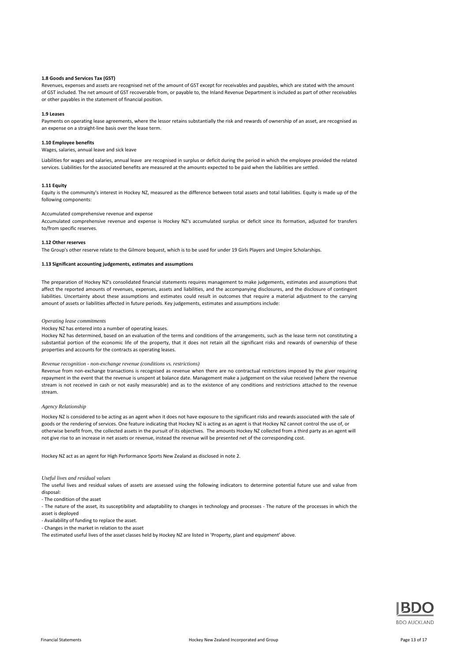#### **1.8 Goods and Services Tax (GST)**

Revenues, expenses and assets are recognised net of the amount of GST except for receivables and payables, which are stated with the amount of GST included. The net amount of GST recoverable from, or payable to, the Inland Revenue Department is included as part of other receivables or other payables in the statement of financial position.

#### **1.9 Leases**

Payments on operating lease agreements, where the lessor retains substantially the risk and rewards of ownership of an asset, are recognised as an expense on a straight-line basis over the lease term.

#### **1.10 Employee benefits**

Wages, salaries, annual leave and sick leave

Liabilities for wages and salaries, annual leave are recognised in surplus or deficit during the period in which the employee provided the related services. Liabilities for the associated benefits are measured at the amounts expected to be paid when the liabilities are settled.

#### **1.11 Equity**

Equity is the community's interest in Hockey NZ, measured as the difference between total assets and total liabilities. Equity is made up of the following components:

#### Accumulated comprehensive revenue and expense

Accumulated comprehensive revenue and expense is Hockey NZ's accumulated surplus or deficit since its formation, adjusted for transfers to/from specific reserves.

#### **1.12 Other reserves**

The Group's other reserve relate to the Gilmore bequest, which is to be used for under 19 Girls Players and Umpire Scholarships.

#### **1.13 Significant accounting judgements, estimates and assumptions**

The preparation of Hockey NZ's consolidated financial statements requires management to make judgements, estimates and assumptions that affect the reported amounts of revenues, expenses, assets and liabilities, and the accompanying disclosures, and the disclosure of contingent liabilities. Uncertainty about these assumptions and estimates could result in outcomes that require a material adjustment to the carrying amount of assets or liabilities affected in future periods. Key judgements, estimates and assumptions include:

#### *Operating lease commitments*

Hockey NZ has entered into a number of operating leases.

Hockey NZ has determined, based on an evaluation of the terms and conditions of the arrangements, such as the lease term not constituting a substantial portion of the economic life of the property, that it does not retain all the significant risks and rewards of ownership of these properties and accounts for the contracts as operating leases.

#### *Revenue recognition - non-exchange revenue (conditions vs. restrictions)*

Revenue from non-exchange transactions is recognised as revenue when there are no contractual restrictions imposed by the giver requiring repayment in the event that the revenue is unspent at balance date. Management make a judgement on the value received (where the revenue stream is not received in cash or not easily measurable) and as to the existence of any conditions and restrictions attached to the revenue stream.

#### *Agency Relationship*

Hockey NZ is considered to be acting as an agent when it does not have exposure to the significant risks and rewards associated with the sale of goods or the rendering of services. One feature indicating that Hockey NZ is acting as an agent is that Hockey NZ cannot control the use of, or otherwise benefit from, the collected assets in the pursuit of its objectives. The amounts Hockey NZ collected from a third party as an agent will not give rise to an increase in net assets or revenue, instead the revenue will be presented net of the corresponding cost.

Hockey NZ act as an agent for High Performance Sports New Zealand as disclosed in note 2.

#### *Useful lives and residual values*

The useful lives and residual values of assets are assessed using the following indicators to determine potential future use and value from disposal:

- The nature of the asset, its susceptibility and adaptability to changes in technology and processes - The nature of the processes in which the asset is deployed

- Availability of funding to replace the asset.
- Changes in the market in relation to the asset

The estimated useful lives of the asset classes held by Hockey NZ are listed in 'Property, plant and equipment' above.



<sup>-</sup> The condition of the asset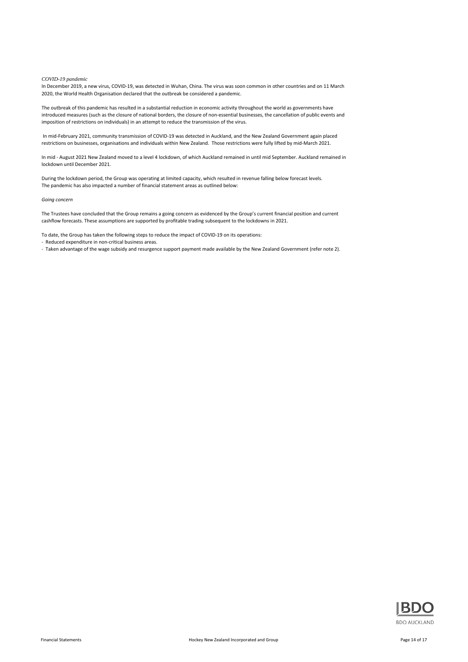#### *COVID-19 pandemic*

In December 2019, a new virus, COVID-19, was detected in Wuhan, China. The virus was soon common in other countries and on 11 March 2020, the World Health Organisation declared that the outbreak be considered a pandemic.

The outbreak of this pandemic has resulted in a substantial reduction in economic activity throughout the world as governments have introduced measures (such as the closure of national borders, the closure of non-essential businesses, the cancellation of public events and imposition of restrictions on individuals) in an attempt to reduce the transmission of the virus.

 In mid-February 2021, community transmission of COVID-19 was detected in Auckland, and the New Zealand Government again placed restrictions on businesses, organisations and individuals within New Zealand. Those restrictions were fully lifted by mid-March 2021.

In mid - August 2021 New Zealand moved to a level 4 lockdown, of which Auckland remained in until mid September. Auckland remained in lockdown until December 2021.

During the lockdown period, the Group was operating at limited capacity, which resulted in revenue falling below forecast levels. The pandemic has also impacted a number of financial statement areas as outlined below:

#### *Going concern*

The Trustees have concluded that the Group remains a going concern as evidenced by the Group's current financial position and current cashflow forecasts. These assumptions are supported by profitable trading subsequent to the lockdowns in 2021.

To date, the Group has taken the following steps to reduce the impact of COVID-19 on its operations:

- Reduced expenditure in non-critical business areas.

- Taken advantage of the wage subsidy and resurgence support payment made available by the New Zealand Government (refer note 2).

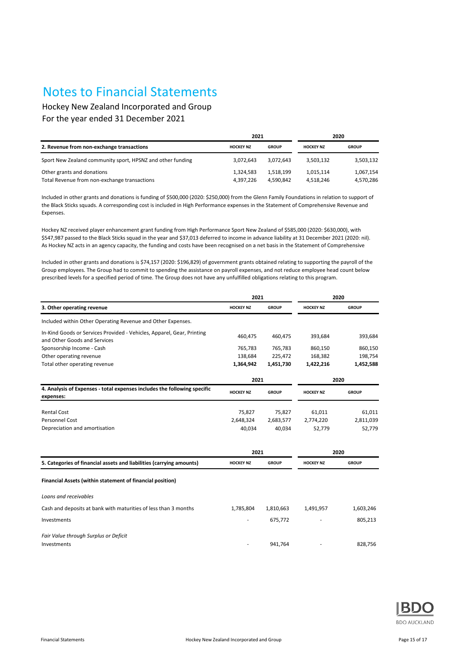## Notes to Financial Statements

Hockey New Zealand Incorporated and Group For the year ended 31 December 2021

|                                                                            | 2021                   |                        | 2020                   |                        |  |
|----------------------------------------------------------------------------|------------------------|------------------------|------------------------|------------------------|--|
| 2. Revenue from non-exchange transactions                                  | <b>HOCKEY NZ</b>       | <b>GROUP</b>           | <b>HOCKEY NZ</b>       | <b>GROUP</b>           |  |
| Sport New Zealand community sport, HPSNZ and other funding                 | 3.072.643              | 3.072.643              | 3.503.132              | 3,503,132              |  |
| Other grants and donations<br>Total Revenue from non-exchange transactions | 1,324,583<br>4.397.226 | 1,518,199<br>4.590.842 | 1,015,114<br>4.518.246 | 1,067,154<br>4,570,286 |  |

Included in other grants and donations is funding of \$500,000 (2020: \$250,000) from the Glenn Family Foundations in relation to support of the Black Sticks squads. A corresponding cost is included in High Performance expenses in the Statement of Comprehensive Revenue and Expenses.

Hockey NZ received player enhancement grant funding from High Performance Sport New Zealand of \$585,000 (2020: \$630,000), with \$547,987 passed to the Black Sticks squad in the year and \$37,013 deferred to income in advance liability at 31 December 2021 (2020: nil). As Hockey NZ acts in an agency capacity, the funding and costs have been recognised on a net basis in the Statement of Comprehensive

Included in other grants and donations is \$74,157 (2020: \$196,829) of government grants obtained relating to supporting the payroll of the Group employees. The Group had to commit to spending the assistance on payroll expenses, and not reduce employee head count below prescribed levels for a specified period of time. The Group does not have any unfulfilled obligations relating to this program.

|                                                                                                        | 2021             |              | 2020             |              |  |
|--------------------------------------------------------------------------------------------------------|------------------|--------------|------------------|--------------|--|
| 3. Other operating revenue                                                                             | <b>HOCKEY NZ</b> | <b>GROUP</b> | <b>HOCKEY NZ</b> | <b>GROUP</b> |  |
| Included within Other Operating Revenue and Other Expenses.                                            |                  |              |                  |              |  |
| In-Kind Goods or Services Provided - Vehicles, Apparel, Gear, Printing<br>and Other Goods and Services | 460,475          | 460,475      | 393,684          | 393,684      |  |
| Sponsorship Income - Cash                                                                              | 765,783          | 765,783      | 860,150          | 860,150      |  |
| Other operating revenue                                                                                | 138,684          | 225,472      | 168,382          | 198,754      |  |
| Total other operating revenue                                                                          | 1,364,942        | 1,451,730    | 1,422,216        | 1,452,588    |  |
|                                                                                                        | 2021             |              | 2020             |              |  |
| 4. Analysis of Expenses - total expenses includes the following specific<br>expenses:                  | <b>HOCKEY NZ</b> | <b>GROUP</b> | <b>HOCKEY NZ</b> | <b>GROUP</b> |  |
| <b>Rental Cost</b>                                                                                     | 75,827           | 75,827       | 61,011           | 61,011       |  |
| Personnel Cost                                                                                         | 2,648,324        | 2,683,577    | 2,774,220        | 2,811,039    |  |
| Depreciation and amortisation                                                                          | 40,034           | 40,034       | 52,779           | 52,779       |  |

|                                                                      | 2021             |              | 2020             |              |
|----------------------------------------------------------------------|------------------|--------------|------------------|--------------|
| 5. Categories of financial assets and liabilities (carrying amounts) | <b>HOCKEY NZ</b> | <b>GROUP</b> | <b>HOCKEY NZ</b> | <b>GROUP</b> |
| Financial Assets (within statement of financial position)            |                  |              |                  |              |
| Loans and receivables                                                |                  |              |                  |              |
| Cash and deposits at bank with maturities of less than 3 months      | 1,785,804        | 1,810,663    | 1,491,957        | 1,603,246    |
| Investments                                                          | ۰                | 675.772      |                  | 805,213      |
| Fair Value through Surplus or Deficit<br>Investments                 |                  | 941.764      |                  | 828.756      |

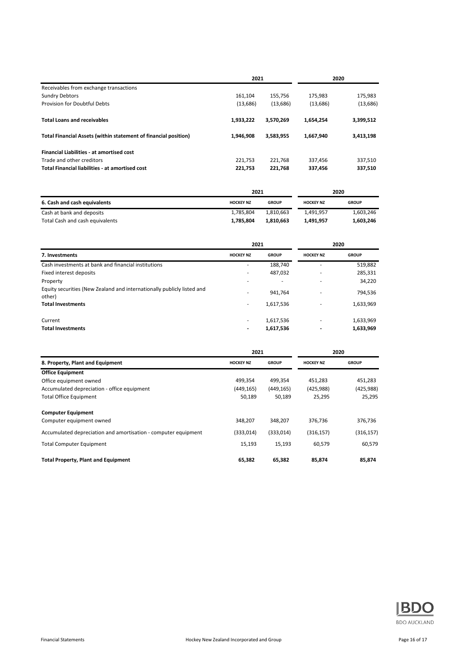|                                                                 | 2021      |           | 2020      |           |
|-----------------------------------------------------------------|-----------|-----------|-----------|-----------|
| Receivables from exchange transactions                          |           |           |           |           |
| <b>Sundry Debtors</b>                                           | 161,104   | 155.756   | 175.983   | 175,983   |
| Provision for Doubtful Debts                                    | (13, 686) | (13,686)  | (13,686)  | (13,686)  |
| <b>Total Loans and receivables</b>                              | 1,933,222 | 3.570.269 | 1,654,254 | 3,399,512 |
| Total Financial Assets (within statement of financial position) | 1.946.908 | 3.583.955 | 1,667,940 | 3.413.198 |
| <b>Financial Liabilities - at amortised cost</b>                |           |           |           |           |
| Trade and other creditors                                       | 221.753   | 221.768   | 337,456   | 337,510   |
| <b>Total Financial liabilities - at amortised cost</b>          | 221,753   | 221,768   | 337,456   | 337,510   |

|                                 | 2021             |              | 2020             |              |
|---------------------------------|------------------|--------------|------------------|--------------|
| 6. Cash and cash equivalents    | <b>HOCKEY NZ</b> | <b>GROUP</b> | <b>HOCKEY NZ</b> | <b>GROUP</b> |
| Cash at bank and deposits       | 1.785.804        | 1.810.663    | 1.491.957        | 1,603,246    |
| Total Cash and cash equivalents | 1.785.804        | 1,810,663    | 1.491.957        | 1,603,246    |

| 2021             |                          | 2020                     |                        |
|------------------|--------------------------|--------------------------|------------------------|
| <b>HOCKEY NZ</b> | <b>GROUP</b>             | <b>HOCKEY NZ</b>         | <b>GROUP</b>           |
| ۰.               | 188,740                  | $\overline{\phantom{a}}$ | 519,882                |
|                  | 487,032                  | $\overline{\phantom{a}}$ | 285,331                |
|                  | $\overline{\phantom{a}}$ |                          | 34,220                 |
|                  | 941.764                  |                          | 794,536                |
| ۰.               | 1,617,536                | $\overline{\phantom{a}}$ | 1,633,969              |
|                  | 1,617,536                | $\overline{\phantom{a}}$ | 1,633,969<br>1,633,969 |
|                  |                          | 1,617,536                |                        |

|                                                                | 2021             |              | 2020             |              |
|----------------------------------------------------------------|------------------|--------------|------------------|--------------|
| 8. Property, Plant and Equipment                               | <b>HOCKEY NZ</b> | <b>GROUP</b> | <b>HOCKEY NZ</b> | <b>GROUP</b> |
| <b>Office Equipment</b>                                        |                  |              |                  |              |
| Office equipment owned                                         | 499,354          | 499,354      | 451,283          | 451,283      |
| Accumulated depreciation - office equipment                    | (449, 165)       | (449, 165)   | (425, 988)       | (425, 988)   |
| <b>Total Office Equipment</b>                                  | 50,189           | 50,189       | 25,295           | 25,295       |
| <b>Computer Equipment</b>                                      |                  |              |                  |              |
| Computer equipment owned                                       | 348.207          | 348,207      | 376,736          | 376,736      |
| Accumulated depreciation and amortisation - computer equipment | (333,014)        | (333,014)    | (316, 157)       | (316,157)    |
| <b>Total Computer Equipment</b>                                | 15,193           | 15,193       | 60,579           | 60,579       |
| <b>Total Property, Plant and Equipment</b>                     | 65,382           | 65,382       | 85,874           | 85,874       |